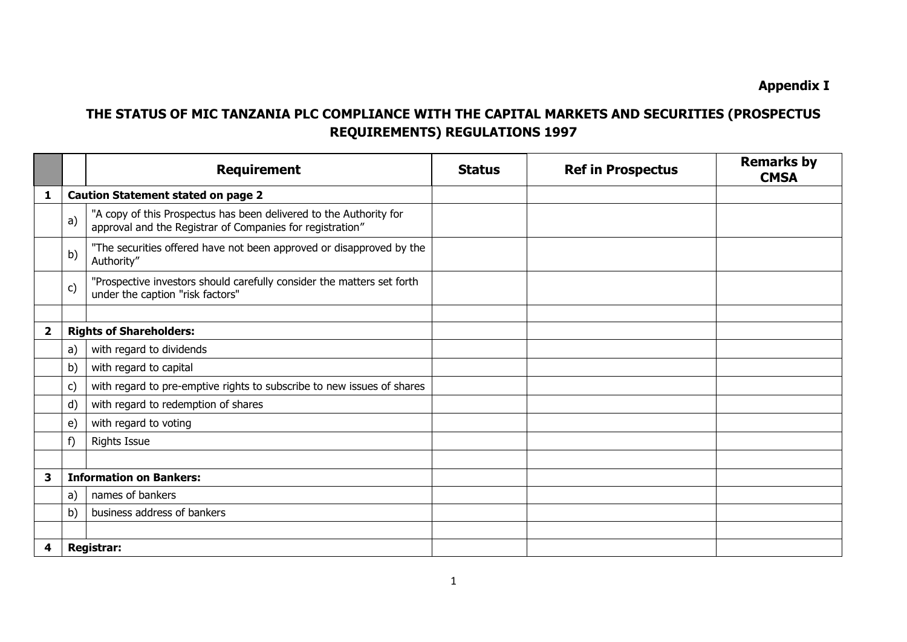**Appendix I**

## **THE STATUS OF MIC TANZANIA PLC COMPLIANCE WITH THE CAPITAL MARKETS AND SECURITIES (PROSPECTUS REQUIREMENTS) REGULATIONS 1997**

|   |               | <b>Requirement</b>                                                                                                              | <b>Status</b> | <b>Ref in Prospectus</b> | <b>Remarks by</b><br><b>CMSA</b> |
|---|---------------|---------------------------------------------------------------------------------------------------------------------------------|---------------|--------------------------|----------------------------------|
| 1 |               | <b>Caution Statement stated on page 2</b>                                                                                       |               |                          |                                  |
|   | a)            | "A copy of this Prospectus has been delivered to the Authority for<br>approval and the Registrar of Companies for registration" |               |                          |                                  |
|   | b)            | "The securities offered have not been approved or disapproved by the<br>Authority"                                              |               |                          |                                  |
|   | $\mathsf{c})$ | "Prospective investors should carefully consider the matters set forth<br>under the caption "risk factors"                      |               |                          |                                  |
|   |               |                                                                                                                                 |               |                          |                                  |
| 2 |               | <b>Rights of Shareholders:</b>                                                                                                  |               |                          |                                  |
|   | a)            | with regard to dividends                                                                                                        |               |                          |                                  |
|   | b)            | with regard to capital                                                                                                          |               |                          |                                  |
|   | c)            | with regard to pre-emptive rights to subscribe to new issues of shares                                                          |               |                          |                                  |
|   | d)            | with regard to redemption of shares                                                                                             |               |                          |                                  |
|   | $\epsilon$    | with regard to voting                                                                                                           |               |                          |                                  |
|   | f)            | <b>Rights Issue</b>                                                                                                             |               |                          |                                  |
|   |               |                                                                                                                                 |               |                          |                                  |
| 3 |               | <b>Information on Bankers:</b>                                                                                                  |               |                          |                                  |
|   | a)            | names of bankers                                                                                                                |               |                          |                                  |
|   | b)            | business address of bankers                                                                                                     |               |                          |                                  |
|   |               |                                                                                                                                 |               |                          |                                  |
| 4 |               | <b>Registrar:</b>                                                                                                               |               |                          |                                  |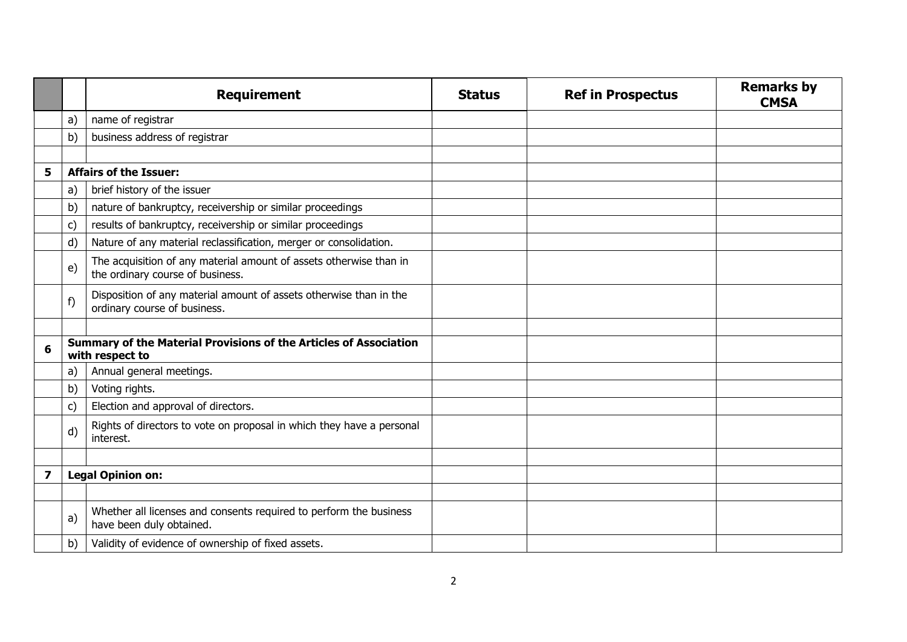|   |              | <b>Requirement</b>                                                                                     | <b>Status</b> | <b>Ref in Prospectus</b> | <b>Remarks by</b><br><b>CMSA</b> |
|---|--------------|--------------------------------------------------------------------------------------------------------|---------------|--------------------------|----------------------------------|
|   | a)           | name of registrar                                                                                      |               |                          |                                  |
|   | b)           | business address of registrar                                                                          |               |                          |                                  |
|   |              |                                                                                                        |               |                          |                                  |
| 5 |              | <b>Affairs of the Issuer:</b>                                                                          |               |                          |                                  |
|   | a)           | brief history of the issuer                                                                            |               |                          |                                  |
|   | b)           | nature of bankruptcy, receivership or similar proceedings                                              |               |                          |                                  |
|   | c)           | results of bankruptcy, receivership or similar proceedings                                             |               |                          |                                  |
|   | d)           | Nature of any material reclassification, merger or consolidation.                                      |               |                          |                                  |
|   | $\epsilon$   | The acquisition of any material amount of assets otherwise than in<br>the ordinary course of business. |               |                          |                                  |
|   | f)           | Disposition of any material amount of assets otherwise than in the<br>ordinary course of business.     |               |                          |                                  |
|   |              |                                                                                                        |               |                          |                                  |
| 6 |              | Summary of the Material Provisions of the Articles of Association<br>with respect to                   |               |                          |                                  |
|   | a)           | Annual general meetings.                                                                               |               |                          |                                  |
|   | b)           | Voting rights.                                                                                         |               |                          |                                  |
|   | $\mathsf{c}$ | Election and approval of directors.                                                                    |               |                          |                                  |
|   | d)           | Rights of directors to vote on proposal in which they have a personal<br>interest.                     |               |                          |                                  |
|   |              |                                                                                                        |               |                          |                                  |
| 7 |              | <b>Legal Opinion on:</b>                                                                               |               |                          |                                  |
|   |              |                                                                                                        |               |                          |                                  |
|   | a)           | Whether all licenses and consents required to perform the business<br>have been duly obtained.         |               |                          |                                  |
|   | b)           | Validity of evidence of ownership of fixed assets.                                                     |               |                          |                                  |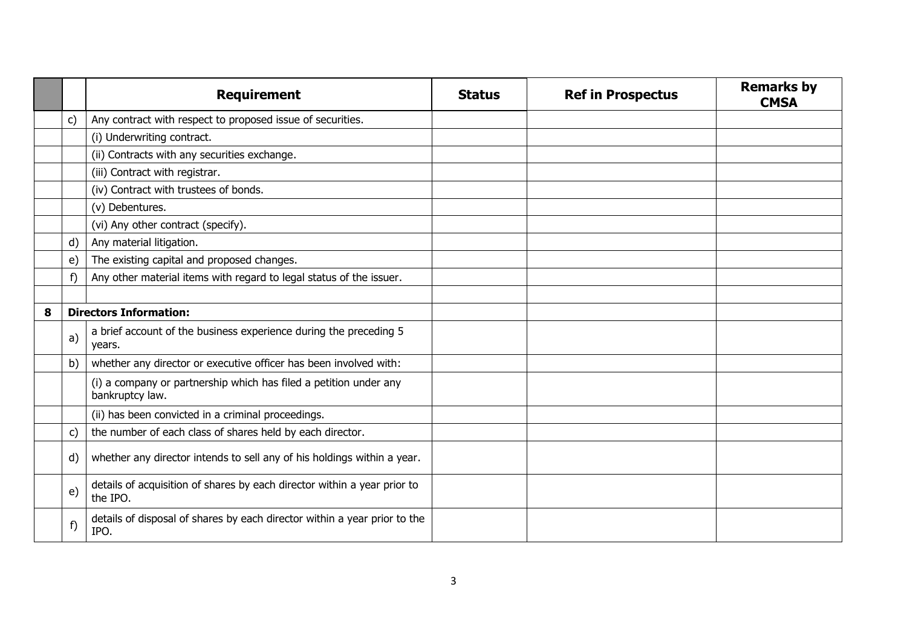|   |              | <b>Requirement</b>                                                                   | <b>Status</b> | <b>Ref in Prospectus</b> | <b>Remarks by</b><br><b>CMSA</b> |
|---|--------------|--------------------------------------------------------------------------------------|---------------|--------------------------|----------------------------------|
|   | C)           | Any contract with respect to proposed issue of securities.                           |               |                          |                                  |
|   |              | (i) Underwriting contract.                                                           |               |                          |                                  |
|   |              | (ii) Contracts with any securities exchange.                                         |               |                          |                                  |
|   |              | (iii) Contract with registrar.                                                       |               |                          |                                  |
|   |              | (iv) Contract with trustees of bonds.                                                |               |                          |                                  |
|   |              | (v) Debentures.                                                                      |               |                          |                                  |
|   |              | (vi) Any other contract (specify).                                                   |               |                          |                                  |
|   | $\mathsf{d}$ | Any material litigation.                                                             |               |                          |                                  |
|   | e)           | The existing capital and proposed changes.                                           |               |                          |                                  |
|   | f)           | Any other material items with regard to legal status of the issuer.                  |               |                          |                                  |
|   |              |                                                                                      |               |                          |                                  |
| 8 |              | <b>Directors Information:</b>                                                        |               |                          |                                  |
|   | a)           | a brief account of the business experience during the preceding 5<br>years.          |               |                          |                                  |
|   | b)           | whether any director or executive officer has been involved with:                    |               |                          |                                  |
|   |              | (i) a company or partnership which has filed a petition under any<br>bankruptcy law. |               |                          |                                  |
|   |              | (ii) has been convicted in a criminal proceedings.                                   |               |                          |                                  |
|   | $\mathsf{C}$ | the number of each class of shares held by each director.                            |               |                          |                                  |
|   | d)           | whether any director intends to sell any of his holdings within a year.              |               |                          |                                  |
|   | e)           | details of acquisition of shares by each director within a year prior to<br>the IPO. |               |                          |                                  |
|   | f)           | details of disposal of shares by each director within a year prior to the<br>IPO.    |               |                          |                                  |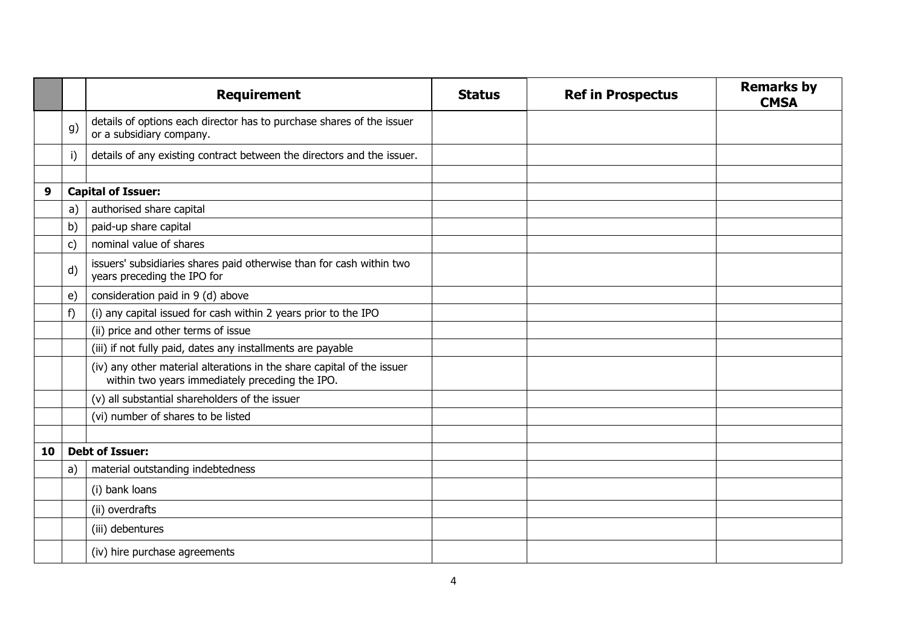|    |              | <b>Requirement</b>                                                                                                        | <b>Status</b> | <b>Ref in Prospectus</b> | <b>Remarks by</b><br><b>CMSA</b> |
|----|--------------|---------------------------------------------------------------------------------------------------------------------------|---------------|--------------------------|----------------------------------|
|    | g)           | details of options each director has to purchase shares of the issuer<br>or a subsidiary company.                         |               |                          |                                  |
|    | i)           | details of any existing contract between the directors and the issuer.                                                    |               |                          |                                  |
|    |              |                                                                                                                           |               |                          |                                  |
| 9  |              | <b>Capital of Issuer:</b>                                                                                                 |               |                          |                                  |
|    | a)           | authorised share capital                                                                                                  |               |                          |                                  |
|    | b)           | paid-up share capital                                                                                                     |               |                          |                                  |
|    | $\mathsf{C}$ | nominal value of shares                                                                                                   |               |                          |                                  |
|    | d)           | issuers' subsidiaries shares paid otherwise than for cash within two<br>years preceding the IPO for                       |               |                          |                                  |
|    | e)           | consideration paid in 9 (d) above                                                                                         |               |                          |                                  |
|    | f)           | (i) any capital issued for cash within 2 years prior to the IPO                                                           |               |                          |                                  |
|    |              | (ii) price and other terms of issue                                                                                       |               |                          |                                  |
|    |              | (iii) if not fully paid, dates any installments are payable                                                               |               |                          |                                  |
|    |              | (iv) any other material alterations in the share capital of the issuer<br>within two years immediately preceding the IPO. |               |                          |                                  |
|    |              | (v) all substantial shareholders of the issuer                                                                            |               |                          |                                  |
|    |              | (vi) number of shares to be listed                                                                                        |               |                          |                                  |
|    |              |                                                                                                                           |               |                          |                                  |
| 10 |              | <b>Debt of Issuer:</b>                                                                                                    |               |                          |                                  |
|    | a)           | material outstanding indebtedness                                                                                         |               |                          |                                  |
|    |              | (i) bank loans                                                                                                            |               |                          |                                  |
|    |              | (ii) overdrafts                                                                                                           |               |                          |                                  |
|    |              | (iii) debentures                                                                                                          |               |                          |                                  |
|    |              | (iv) hire purchase agreements                                                                                             |               |                          |                                  |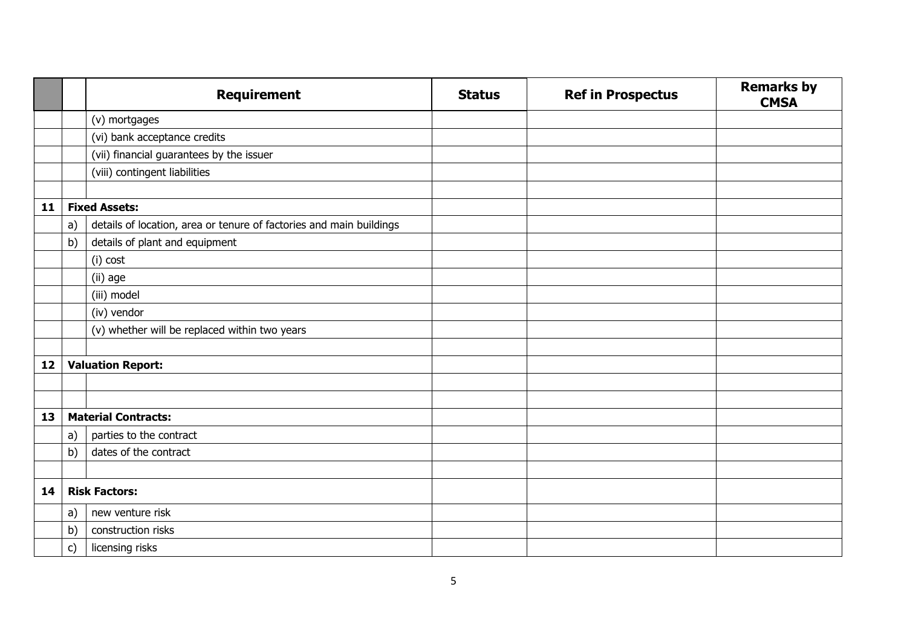|    |    | <b>Requirement</b>                                                  | <b>Status</b> | <b>Ref in Prospectus</b> | <b>Remarks by</b><br><b>CMSA</b> |
|----|----|---------------------------------------------------------------------|---------------|--------------------------|----------------------------------|
|    |    | (v) mortgages                                                       |               |                          |                                  |
|    |    | (vi) bank acceptance credits                                        |               |                          |                                  |
|    |    | (vii) financial guarantees by the issuer                            |               |                          |                                  |
|    |    | (viii) contingent liabilities                                       |               |                          |                                  |
|    |    |                                                                     |               |                          |                                  |
| 11 |    | <b>Fixed Assets:</b>                                                |               |                          |                                  |
|    | a) | details of location, area or tenure of factories and main buildings |               |                          |                                  |
|    | b) | details of plant and equipment                                      |               |                          |                                  |
|    |    | (i) cost                                                            |               |                          |                                  |
|    |    | (ii) age                                                            |               |                          |                                  |
|    |    | (iii) model                                                         |               |                          |                                  |
|    |    | (iv) vendor                                                         |               |                          |                                  |
|    |    | (v) whether will be replaced within two years                       |               |                          |                                  |
|    |    |                                                                     |               |                          |                                  |
| 12 |    | <b>Valuation Report:</b>                                            |               |                          |                                  |
|    |    |                                                                     |               |                          |                                  |
|    |    |                                                                     |               |                          |                                  |
| 13 |    | <b>Material Contracts:</b>                                          |               |                          |                                  |
|    | a) | parties to the contract                                             |               |                          |                                  |
|    | b) | dates of the contract                                               |               |                          |                                  |
|    |    |                                                                     |               |                          |                                  |
| 14 |    | <b>Risk Factors:</b>                                                |               |                          |                                  |
|    | a) | new venture risk                                                    |               |                          |                                  |
|    | b) | construction risks                                                  |               |                          |                                  |
|    | c) | licensing risks                                                     |               |                          |                                  |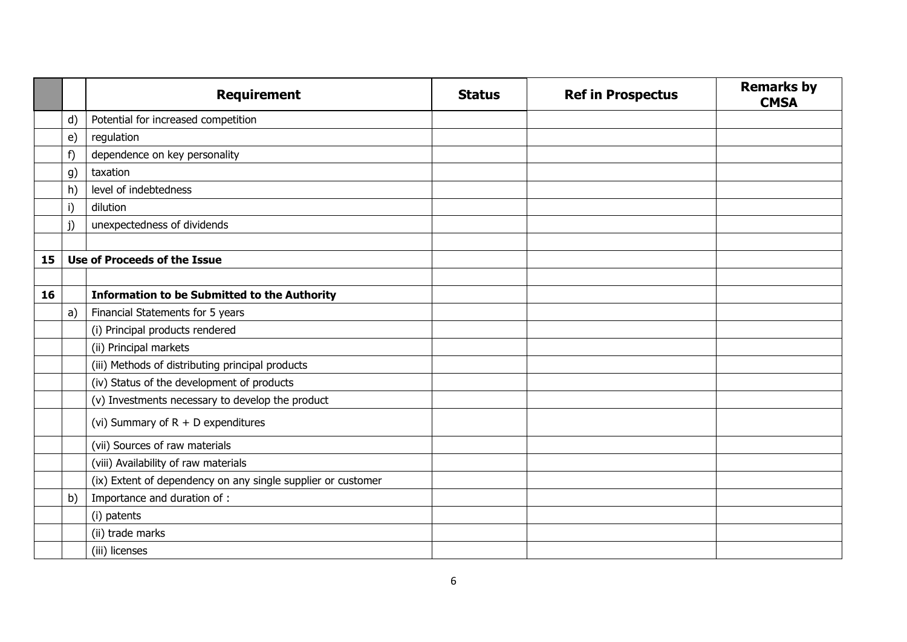|    |            | <b>Requirement</b>                                           | <b>Status</b> | <b>Ref in Prospectus</b> | <b>Remarks by</b><br><b>CMSA</b> |
|----|------------|--------------------------------------------------------------|---------------|--------------------------|----------------------------------|
|    | d)         | Potential for increased competition                          |               |                          |                                  |
|    | $\epsilon$ | regulation                                                   |               |                          |                                  |
|    | f)         | dependence on key personality                                |               |                          |                                  |
|    | g)         | taxation                                                     |               |                          |                                  |
|    | h)         | level of indebtedness                                        |               |                          |                                  |
|    | i)         | dilution                                                     |               |                          |                                  |
|    | j)         | unexpectedness of dividends                                  |               |                          |                                  |
|    |            |                                                              |               |                          |                                  |
| 15 |            | Use of Proceeds of the Issue                                 |               |                          |                                  |
|    |            |                                                              |               |                          |                                  |
| 16 |            | <b>Information to be Submitted to the Authority</b>          |               |                          |                                  |
|    | a)         | Financial Statements for 5 years                             |               |                          |                                  |
|    |            | (i) Principal products rendered                              |               |                          |                                  |
|    |            | (ii) Principal markets                                       |               |                          |                                  |
|    |            | (iii) Methods of distributing principal products             |               |                          |                                  |
|    |            | (iv) Status of the development of products                   |               |                          |                                  |
|    |            | (v) Investments necessary to develop the product             |               |                          |                                  |
|    |            | (vi) Summary of $R + D$ expenditures                         |               |                          |                                  |
|    |            | (vii) Sources of raw materials                               |               |                          |                                  |
|    |            | (viii) Availability of raw materials                         |               |                          |                                  |
|    |            | (ix) Extent of dependency on any single supplier or customer |               |                          |                                  |
|    | b)         | Importance and duration of :                                 |               |                          |                                  |
|    |            | (i) patents                                                  |               |                          |                                  |
|    |            | (ii) trade marks                                             |               |                          |                                  |
|    |            | (iii) licenses                                               |               |                          |                                  |